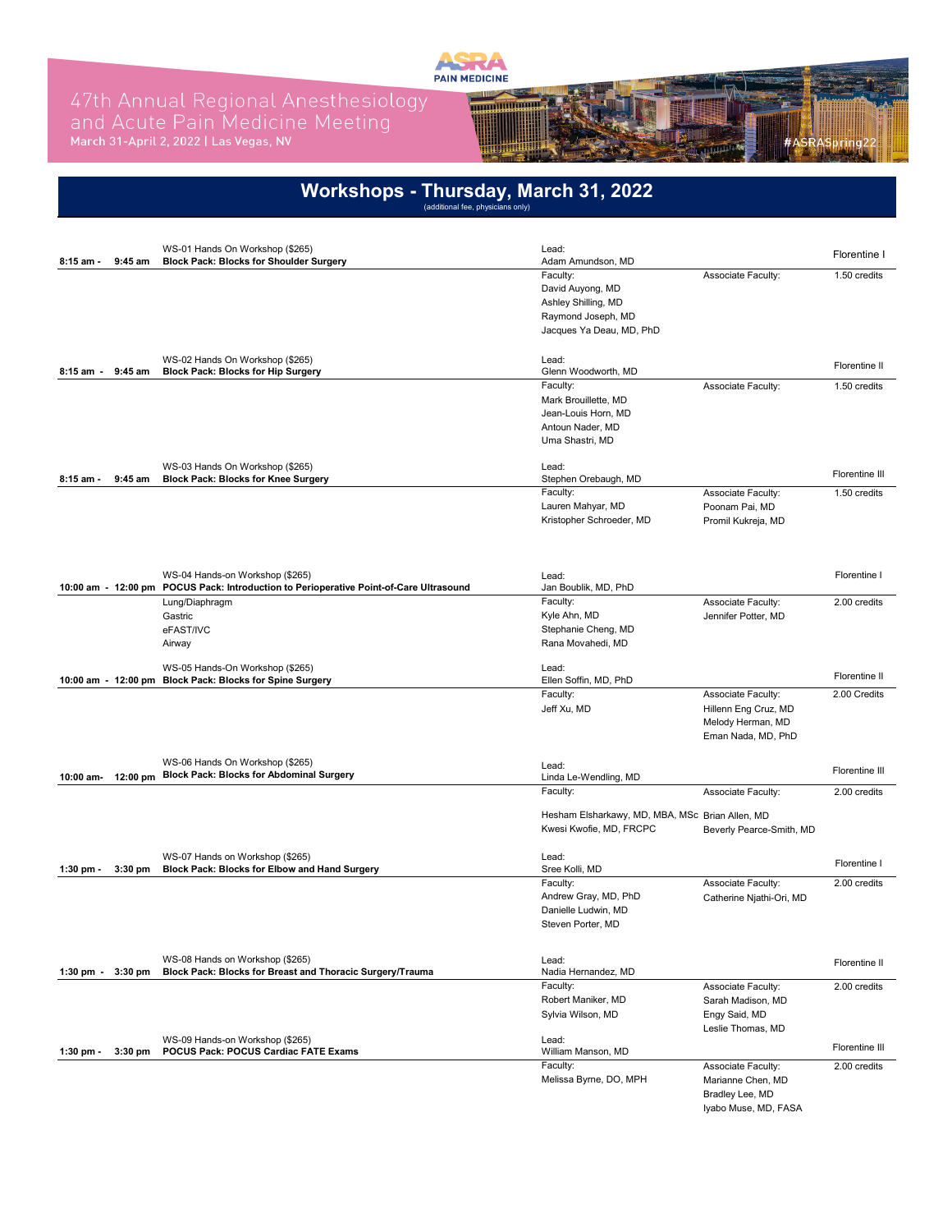

# 47th Annual Regional Anesthesiology<br>and Acute Pain Medicine Meeting<br>March 31-April 2, 2022 I Las Vegas, NV



| 8:15 am -   | 9:45 am   | WS-01 Hands On Workshop (\$265)<br><b>Block Pack: Blocks for Shoulder Surgery</b>            | Lead:<br>Adam Amundson, MD                                                 |                                           | Florentine I                   |
|-------------|-----------|----------------------------------------------------------------------------------------------|----------------------------------------------------------------------------|-------------------------------------------|--------------------------------|
|             |           |                                                                                              | Faculty:                                                                   | Associate Faculty:                        | 1.50 credits                   |
|             |           |                                                                                              | David Auyong, MD                                                           |                                           |                                |
|             |           |                                                                                              | Ashley Shilling, MD<br>Raymond Joseph, MD                                  |                                           |                                |
|             |           |                                                                                              | Jacques Ya Deau, MD, PhD                                                   |                                           |                                |
|             |           | WS-02 Hands On Workshop (\$265)                                                              | Lead:                                                                      |                                           |                                |
| 8:15 am -   | 9:45 am   | <b>Block Pack: Blocks for Hip Surgery</b>                                                    | Glenn Woodworth, MD                                                        |                                           | Florentine II                  |
|             |           |                                                                                              | Faculty:                                                                   | Associate Faculty:                        | 1.50 credits                   |
|             |           |                                                                                              | Mark Brouillette, MD                                                       |                                           |                                |
|             |           |                                                                                              | Jean-Louis Horn, MD<br>Antoun Nader, MD                                    |                                           |                                |
|             |           |                                                                                              | Uma Shastri, MD                                                            |                                           |                                |
|             |           | WS-03 Hands On Workshop (\$265)                                                              | Lead:                                                                      |                                           |                                |
| 8:15 am -   | 9:45 am   | <b>Block Pack: Blocks for Knee Surgery</b>                                                   | Stephen Orebaugh, MD<br>Faculty:                                           | Associate Faculty:                        | Florentine III<br>1.50 credits |
|             |           |                                                                                              | Lauren Mahyar, MD                                                          | Poonam Pai, MD                            |                                |
|             |           |                                                                                              | Kristopher Schroeder, MD                                                   | Promil Kukreja, MD                        |                                |
|             |           |                                                                                              |                                                                            |                                           |                                |
|             |           | WS-04 Hands-on Workshop (\$265)                                                              | Lead:                                                                      |                                           | Florentine I                   |
|             |           | 10:00 am - 12:00 pm POCUS Pack: Introduction to Perioperative Point-of-Care Ultrasound       | Jan Boublik, MD, PhD                                                       |                                           |                                |
|             |           | Lung/Diaphragm                                                                               | Faculty:                                                                   | Associate Faculty:                        | 2.00 credits                   |
|             |           | Gastric<br>eFAST/IVC                                                                         | Kyle Ahn, MD<br>Stephanie Cheng, MD                                        | Jennifer Potter, MD                       |                                |
|             |           | Airway                                                                                       | Rana Movahedi, MD                                                          |                                           |                                |
|             |           |                                                                                              | Lead:                                                                      |                                           |                                |
|             |           | WS-05 Hands-On Workshop (\$265)<br>10:00 am - 12:00 pm Block Pack: Blocks for Spine Surgery  | Ellen Soffin, MD, PhD                                                      |                                           | Florentine II                  |
|             |           |                                                                                              | Faculty:                                                                   | Associate Faculty:                        | 2.00 Credits                   |
|             |           |                                                                                              | Jeff Xu, MD                                                                | Hillenn Eng Cruz, MD<br>Melody Herman, MD |                                |
|             |           |                                                                                              |                                                                            | Eman Nada, MD, PhD                        |                                |
|             |           | WS-06 Hands On Workshop (\$265)                                                              | Lead:                                                                      |                                           | Florentine III                 |
| 10:00 am-   |           | 12:00 pm Block Pack: Blocks for Abdominal Surgery                                            | Linda Le-Wendling, MD<br>Faculty:                                          | Associate Faculty:                        | 2.00 credits                   |
|             |           |                                                                                              |                                                                            |                                           |                                |
|             |           |                                                                                              | Hesham Elsharkawy, MD, MBA, MSc Brian Allen, MD<br>Kwesi Kwofie, MD, FRCPC | Beverly Pearce-Smith, MD                  |                                |
|             |           |                                                                                              |                                                                            |                                           |                                |
| $1:30$ pm - | $3:30$ pm | WS-07 Hands on Workshop (\$265)<br>Block Pack: Blocks for Elbow and Hand Surgery             | Lead:<br>Sree Kolli, MD                                                    |                                           | Florentine I                   |
|             |           |                                                                                              | Faculty:                                                                   | Associate Faculty:                        | 2.00 credits                   |
|             |           |                                                                                              | Andrew Gray, MD, PhD<br>Danielle Ludwin, MD                                | Catherine Njathi-Ori, MD                  |                                |
|             |           |                                                                                              | Steven Porter, MD                                                          |                                           |                                |
|             |           |                                                                                              |                                                                            |                                           |                                |
| 1:30 pm $-$ | $3:30$ pm | WS-08 Hands on Workshop (\$265)<br>Block Pack: Blocks for Breast and Thoracic Surgery/Trauma | Lead:<br>Nadia Hernandez, MD                                               |                                           | Florentine II                  |
|             |           |                                                                                              | Faculty:                                                                   | Associate Faculty:                        | 2.00 credits                   |
|             |           |                                                                                              | Robert Maniker, MD                                                         | Sarah Madison, MD<br>Engy Said, MD        |                                |
|             |           |                                                                                              | Sylvia Wilson, MD                                                          | Leslie Thomas, MD                         |                                |
|             |           | WS-09 Hands-on Workshop (\$265)                                                              | Lead:<br>William Manson, MD                                                |                                           | Florentine III                 |
|             | 3:30 pm   | POCUS Pack: POCUS Cardiac FATE Exams                                                         |                                                                            |                                           |                                |
| 1:30 pm $-$ |           |                                                                                              | Faculty:                                                                   | Associate Faculty:                        | 2.00 credits                   |
|             |           |                                                                                              | Melissa Byrne, DO, MPH                                                     | Marianne Chen, MD<br>Bradley Lee, MD      |                                |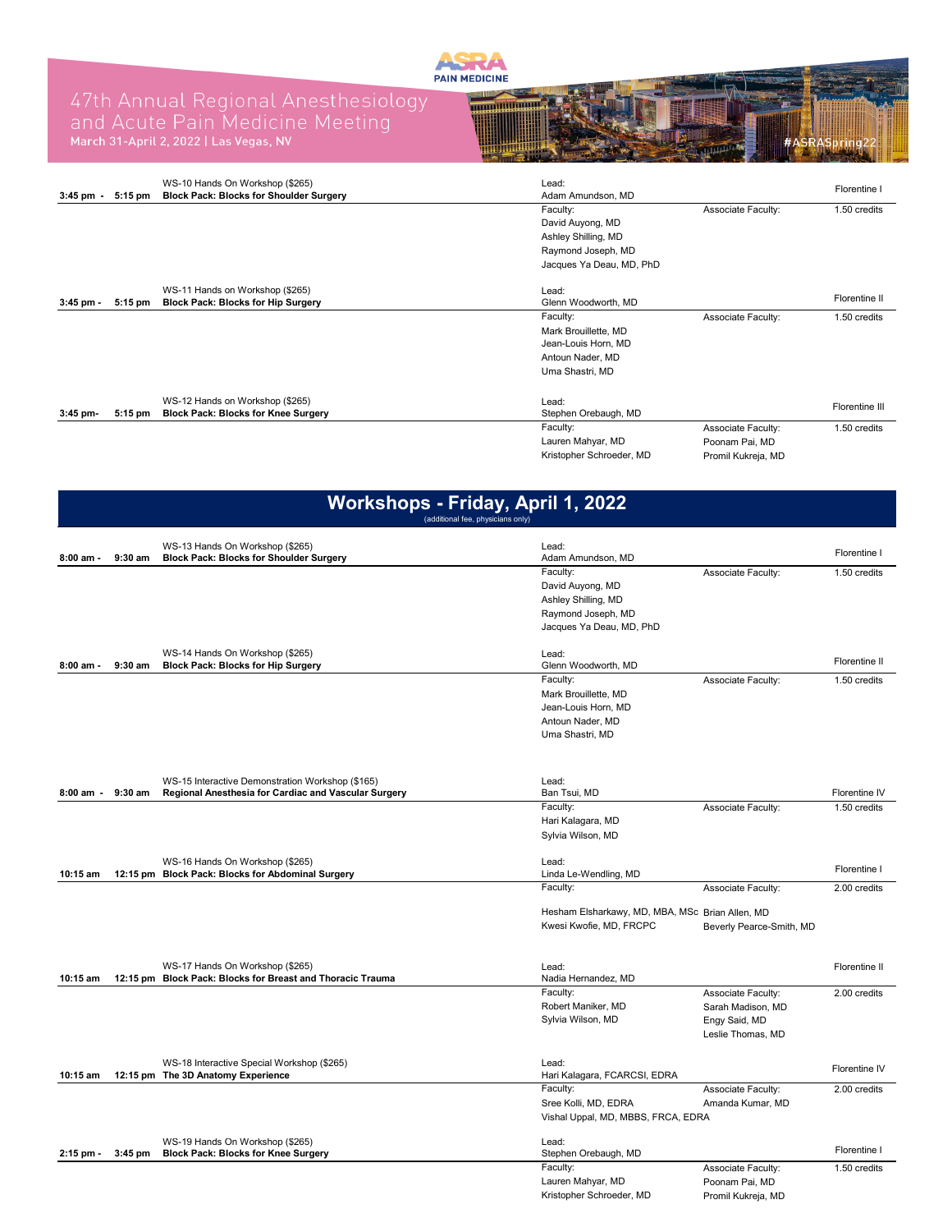

## 47th Annual Regional Anesthesiology<br>and Acute Pain Medicine Meeting<br>March 31-April 2, 2022 I Las Vegas, NV



| $3:45 \text{ pm} -$ | 5:15 pm   | WS-10 Hands On Workshop (\$265)<br><b>Block Pack: Blocks for Shoulder Surgery</b> | Lead:<br>Adam Amundson, MD   |                    | Florentine I   |
|---------------------|-----------|-----------------------------------------------------------------------------------|------------------------------|--------------------|----------------|
|                     |           |                                                                                   | Faculty:                     | Associate Faculty: | 1.50 credits   |
|                     |           |                                                                                   | David Auyong, MD             |                    |                |
|                     |           |                                                                                   | Ashley Shilling, MD          |                    |                |
|                     |           |                                                                                   | Raymond Joseph, MD           |                    |                |
|                     |           |                                                                                   | Jacques Ya Deau, MD, PhD     |                    |                |
| $3:45$ pm -         | 5:15 pm   | WS-11 Hands on Workshop (\$265)<br><b>Block Pack: Blocks for Hip Surgery</b>      | Lead:<br>Glenn Woodworth, MD |                    | Florentine II  |
|                     |           |                                                                                   | Faculty:                     | Associate Faculty: | 1.50 credits   |
|                     |           |                                                                                   | Mark Brouillette, MD         |                    |                |
|                     |           |                                                                                   | Jean-Louis Horn, MD          |                    |                |
|                     |           |                                                                                   | Antoun Nader, MD             |                    |                |
|                     |           |                                                                                   | Uma Shastri, MD              |                    |                |
|                     |           |                                                                                   |                              |                    |                |
|                     |           | WS-12 Hands on Workshop (\$265)                                                   | Lead:                        |                    | Florentine III |
| 3:45 pm-            | $5:15$ pm | <b>Block Pack: Blocks for Knee Surgery</b>                                        | Stephen Orebaugh, MD         |                    |                |
|                     |           |                                                                                   | Faculty:                     | Associate Faculty: | 1.50 credits   |
|                     |           |                                                                                   | Lauren Mahyar, MD            | Poonam Pai, MD     |                |
|                     |           |                                                                                   | Kristopher Schroeder, MD     | Promil Kukreja, MD |                |

#### **Workshops - Friday, April 1, 2022** (additional fee, physicians only)

|             |           | WS-13 Hands On Workshop (\$265)                                                               | Lead:                                           |                          |               |
|-------------|-----------|-----------------------------------------------------------------------------------------------|-------------------------------------------------|--------------------------|---------------|
| 8:00 am -   | $9:30$ am | <b>Block Pack: Blocks for Shoulder Surgery</b>                                                | Adam Amundson, MD                               |                          | Florentine I  |
|             |           |                                                                                               | Faculty:                                        | Associate Faculty:       | 1.50 credits  |
|             |           |                                                                                               | David Auyong, MD                                |                          |               |
|             |           |                                                                                               | Ashley Shilling, MD                             |                          |               |
|             |           |                                                                                               | Raymond Joseph, MD                              |                          |               |
|             |           |                                                                                               | Jacques Ya Deau, MD, PhD                        |                          |               |
|             |           | WS-14 Hands On Workshop (\$265)                                                               | Lead:                                           |                          |               |
| $8:00$ am - | $9:30$ am | <b>Block Pack: Blocks for Hip Surgery</b>                                                     | Glenn Woodworth, MD                             |                          | Florentine II |
|             |           |                                                                                               | Faculty:                                        | Associate Faculty:       | 1.50 credits  |
|             |           |                                                                                               | Mark Brouillette, MD                            |                          |               |
|             |           |                                                                                               | Jean-Louis Horn, MD                             |                          |               |
|             |           |                                                                                               | Antoun Nader, MD                                |                          |               |
|             |           |                                                                                               | Uma Shastri, MD                                 |                          |               |
|             |           |                                                                                               |                                                 |                          |               |
|             |           | WS-15 Interactive Demonstration Workshop (\$165)                                              | Lead:                                           |                          |               |
| 8:00 am -   | $9:30$ am | Regional Anesthesia for Cardiac and Vascular Surgery                                          | Ban Tsui, MD                                    |                          | Florentine IV |
|             |           |                                                                                               | Faculty:                                        | Associate Faculty:       | 1.50 credits  |
|             |           |                                                                                               | Hari Kalagara, MD                               |                          |               |
|             |           |                                                                                               | Sylvia Wilson, MD                               |                          |               |
|             |           | WS-16 Hands On Workshop (\$265)                                                               | Lead:                                           |                          |               |
| 10:15 am    |           | 12:15 pm Block Pack: Blocks for Abdominal Surgery                                             | Linda Le-Wendling, MD                           |                          | Florentine I  |
|             |           |                                                                                               | Faculty:                                        | Associate Faculty:       | 2.00 credits  |
|             |           |                                                                                               |                                                 |                          |               |
|             |           |                                                                                               | Hesham Elsharkawy, MD, MBA, MSc Brian Allen, MD |                          |               |
|             |           |                                                                                               | Kwesi Kwofie, MD, FRCPC                         | Beverly Pearce-Smith, MD |               |
|             |           |                                                                                               |                                                 |                          |               |
| 10:15 am    |           | WS-17 Hands On Workshop (\$265)<br>12:15 pm Block Pack: Blocks for Breast and Thoracic Trauma | Lead:<br>Nadia Hernandez, MD                    |                          | Florentine II |
|             |           |                                                                                               | Faculty:                                        |                          | 2.00 credits  |
|             |           |                                                                                               | Robert Maniker, MD                              | Associate Faculty:       |               |
|             |           |                                                                                               |                                                 | Sarah Madison, MD        |               |
|             |           |                                                                                               | Sylvia Wilson, MD                               | Engy Said, MD            |               |
|             |           |                                                                                               |                                                 | Leslie Thomas, MD        |               |
|             |           | WS-18 Interactive Special Workshop (\$265)                                                    | Lead:                                           |                          |               |
| 10:15 am    |           | 12:15 pm The 3D Anatomy Experience                                                            | Hari Kalagara, FCARCSI, EDRA                    |                          | Florentine IV |
|             |           |                                                                                               | Faculty:                                        | Associate Faculty:       | 2.00 credits  |
|             |           |                                                                                               | Sree Kolli, MD, EDRA                            | Amanda Kumar, MD         |               |
|             |           |                                                                                               | Vishal Uppal, MD, MBBS, FRCA, EDRA              |                          |               |
|             |           | WS-19 Hands On Workshop (\$265)                                                               | Lead:                                           |                          |               |
| 2:15 pm -   | 3:45 pm   | <b>Block Pack: Blocks for Knee Surgery</b>                                                    | Stephen Orebaugh, MD                            |                          | Florentine I  |
|             |           |                                                                                               | Faculty:                                        | Associate Faculty:       | 1.50 credits  |
|             |           |                                                                                               | Lauren Mahyar, MD                               | Poonam Pai, MD           |               |
|             |           |                                                                                               | Kristopher Schroeder, MD                        | Promil Kukreja, MD       |               |